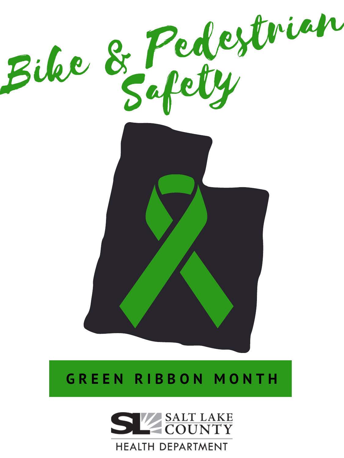

# **G R E E N R I B B O N M O N T H**



## **HEALTH DEPARTMENT**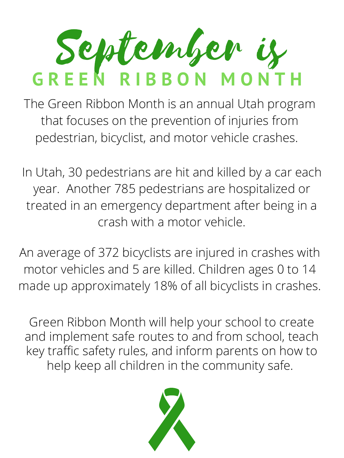In Utah, 30 pedestrians are hit and killed by a car each year. Another 785 pedestrians are hospitalized or treated in an emergency department after being in a crash with a motor vehicle.

# September is **G R E E N R I B B O N M O N T H**

Green Ribbon Month will help your school to create and implement safe routes to and from school, teach key traffic safety rules, and inform parents on how to help keep all children in the community safe.



The Green Ribbon Month is an annual Utah program that focuses on the prevention of injuries from pedestrian, bicyclist, and motor vehicle crashes.

An average of 372 bicyclists are injured in crashes with motor vehicles and 5 are killed. Children ages 0 to 14 made up approximately 18% of all bicyclists in crashes.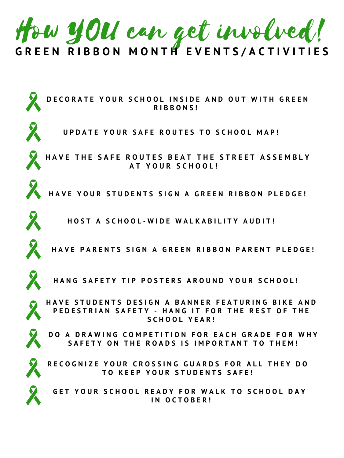





HAVE PARENTS SIGN A GREEN RIBBON PARENT PLEDGE!

HANG SAFETY TIP POSTERS AROUND YOUR SCHOOL!



GET YOUR SCHOOL READY FOR WALK TO SCHOOL DAY **I N O C T O B E R !**

HAVE STUDENTS DESIGN A BANNER FEATURING BIKE AND PEDESTRIAN SAFETY - HANG IT FOR THE REST OF THE **S C H O O L Y E A R !**



DO A DRAWING COMPETITION FOR EACH GRADE FOR WHY SAFETY ON THE ROADS IS IMPORTANT TO THEM!



RECOGNIZE YOUR CROSSING GUARDS FOR ALL THEY DO **T O K E E P Y O U R S T U D E N T S S A F E !**

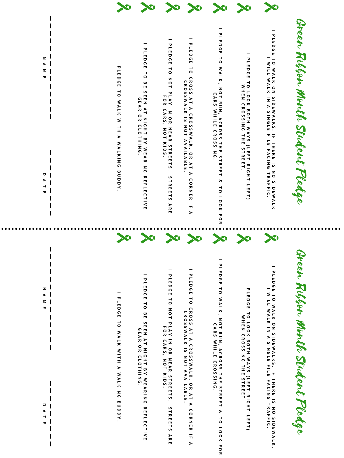Green Ribbon Month Student Pledge

**I D L E D G E** —1 **O W A L K , N O** —1 **R U N , A C R O** <u>ທ</u> <u>ທ</u> —1 **H E** <u>ທ</u> —1 **R E E** —1 **&** —1 **O L O O K F O R C A R** <u>ທ</u> **W H I L E C R O** <u>ທ</u> <u>ທ</u> **I N G .**

I PLE WALK IN A SINGLE FILE FALING IRAFIC.<br>I PLEDGE TO LOOK BOTH WAYS (LEFT-RIGHT-LEFT<br>I PLEDGE TO LOOK BOTH WAYS (LEFT-RIGHT-LEFT PLEDGE **W H E N C R O** <u>ທ</u> <u>ທ</u> **I N G** —1 **H E** <u>ທ</u> —1 **R E E T . )**

**I P L E D G E** —1 **O W A L K O N ທ I D E W A L K S . I F** —1 **H E R E I ທ N O S I D E W A L K , I W I L L W A L K I N A ທ I N G L E F I L E F A C I N G** —1 **R A F F I C**

Green Ribbon Month Student Pledge

**I P L E D G E**  $\rightarrow$ **O C R O** <u>ທ</u> <u>ທ</u> **A**  $\overline{\phantom{a}}$ **A C R O** <u>ທ</u> <u>ທ</u> **W A L K , O R A**  $\mathbf{\mathbf{\mathbf{H}}}$ **A C O R N E R I F A C R O** <u>ທ</u> <u>ທ</u> **W A L K I** <u>ທ</u> **N O** —1 **A V A I L A B L E .**

**I P L E D G E** —1 **O N O** —1 **P L A Y I N O R N E A R** <u>ທ</u> —1 **R E E** —1 <u>ທ</u> **.** <u>ທ</u> —1 **R E E** —1  $\mathbf{S}$ **A R E F O R C A R** <u>ທ</u> **, N O NOT K I D** <u>ທ</u> **.**

I PLE WALN A SINGLE FILE FACING IRAFIC.<br>I PLEDGE TO LOOK BOTH WAYS (LEFT-RIGHT-LEFT<br>I PLEDGE TO LOOK BOTH WAYS (LEFT-RIGHT-LEFT PLEDGE **W H E N C** BOTH WAYS **R O** <u>ທ</u> <u>ທ</u> **I N G** —1 **H E** <u>ທ</u> —1 **R E E T . )**

**I**

**P L E D G E**  $\overline{\phantom{a}}$ **O B E** <u>ທ</u> **E E N A**  $\overline{\phantom{a}}$ **N I G H**  $\overline{\phantom{a}}$ **B Y W E A R I N G R E F L E C** —1 **I V E G E A R O R C L O**  $\overline{\phantom{a}}$ **H I N G**

**I P L E D G E** —1 **O N O** —1 **P L A Y I N O R N E A R** <u>ທ</u> —1 **R E E** —1 <u>ທ</u> **.** <u>ທ</u> —1 **R E E** —1 <u>ທ</u> **A R E F O R C A R** <u>ທ</u> **, N O** —1 **K I D** <u>ທ</u>

**.**

**I P L E D G E** —1 **O W A L K W I** —1 **H A W A L K I N G B U D D Y . \_ \_ \_ \_ \_ \_ \_ \_ \_ \_ \_ \_ \_ \_ \_ \_ \_ \_ \_ \_**

Z **z**  $>$  **B**  $\frac{1}{2}$  **B**  $\frac{1}{2}$  **E**  $\frac{1}{2}$  **E**  $\frac{1}{2}$  **E**  $\frac{1}{2}$  **E**  $\frac{1}{2}$  **E**  $\frac{1}{2}$  **E**  $\frac{1}{2}$  **E**  $\frac{1}{2}$  **E**  $\frac{1}{2}$  **E**  $\frac{1}{2}$  **E**  $\frac{1}{2}$  **E**  $\frac{1}{2}$  $\blacktriangleright$ **Z**  $\blacksquare$ 

**\_**

**\_**

**I D L E D G E** —1 **O W A L K , N O** —1 **R U N , A C R O** <u>ທ</u> <u>ທ</u> —1 **H E** <u>ທ</u> —1 **R E E** —1 **&** —1 **O L O O K F O R C A R** <u>ທ</u> **W H I L E C R O** <u>ທ</u> <u>ທ</u> **I N G .**

**I P L E D G E** —1 **O W A L K O N ທ I D E W A L K S . I F** —1 **H E R E I ທ N O ທ I D E W A L K I W I L L W A L K I N A ທ I N G L E F I L E F A C I N G** —1 **R A F F I C**

**I P L E D G E**  $\overline{\phantom{a}}$ **O C R O** <u>ທ</u> <u>ທ</u> **A**  $\overline{\phantom{a}}$ **A C R O** <u>ທ</u> <u>ທ</u> **W A L K , O R A** —1 **A C O R N E R I F A C R O** <u>ທ</u> <u>ທ</u> **W A L K I** <u>ທ</u> **N O** —1 **A V A I L A B L E .**

**.**

**I**

**P L E D G E**  $\overline{\phantom{0}}$ **O B E** <u>ທ</u> **E E N A**  $\overline{\phantom{a}}$ **N I G H**  $\overline{\phantom{a}}$ **B Y W E A R I N G R E F L E C** —1 **I V E**

**G E A R O R C L O**  $\mathbf{\mathbf{\mathbf{H}}}$ **H I N G .**

**I P L E D G E** —1 **O W A L K W I** —1 **H A W A L K I N G B U D D Y . \_ \_ \_ \_ \_ \_ \_ \_ \_ \_ \_ \_ \_ \_ \_ \_ \_ \_ \_ \_**

Z **z**  $>$  **B**  $\frac{1}{2}$  **B**  $\frac{1}{2}$  **E**  $\frac{1}{2}$  **E**  $\frac{1}{2}$  **E**  $\frac{1}{2}$  **E**  $\frac{1}{2}$  **E**  $\frac{1}{2}$  **E**  $\frac{1}{2}$  **E**  $\frac{1}{2}$  **E**  $\frac{1}{2}$  **E**  $\frac{1}{2}$  **E**  $\frac{1}{2}$  **E**  $\frac{1}{2}$  $\blacktriangleright$ **Z**  $\blacksquare$ 

**\_**

 $\overline{\mathbf{C}}$ 

 $\blacktriangleright$ 

**\_**

 $\overline{\phantom{0}}$ 

 $\overline{\mathbf{C}}$  $\blacktriangleright$  $\overline{\phantom{0}}$  $\blacksquare$ 

 $\blacksquare$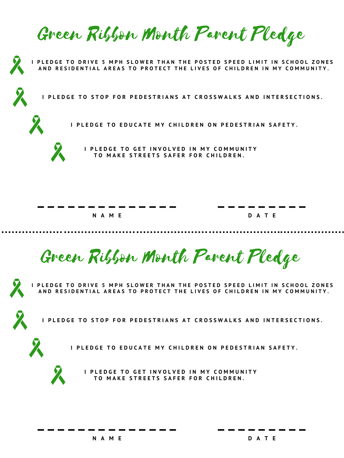Green Ribbon Month Parent Pledge



I PLEDGE TO DRIVE 5 MPH SLOWER THAN THE POSTED SPEED LIMIT IN SCHOOL ZONES AND RESIDENTIAL AREAS TO PROTECT THE LIVES OF CHILDREN IN MY COMMUNITY.



PLEDGE TO STOP FOR PEDESTRIANS AT CROSSWALKS AND INTERSECTIONS.



I PLEDGE TO EDUCATE MY CHILDREN ON PEDESTRIAN SAFETY.



I PLEDGE TO GET INVOLVED IN MY COMMUNITY TO MAKE STREETS SAFER FOR CHILDREN.



Green Ribbon Month Parent Pledge





I PLEDGE TO EDUCATE MY CHILDREN ON PEDESTRIAN SAFETY.



**\_ \_ \_ \_ \_ \_ \_ \_ \_ \_ \_ \_ \_ \_ \_ \_ \_ \_ \_ \_ \_ \_ \_**



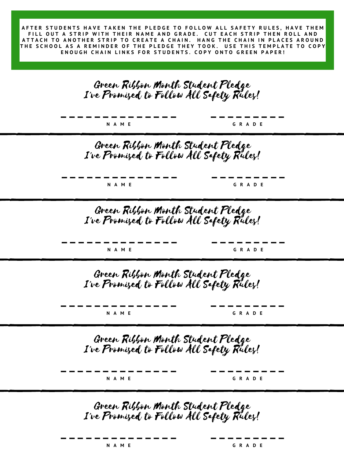**\_ \_ \_ \_ \_ \_ \_ \_ \_ \_ \_ \_ \_ \_ \_ \_ \_ \_ \_ \_ \_ \_ \_**

**N A M E G R A D E**

## Green Ribbon Month Student Pledge I've Promised to Follow All Safety Rules!

**\_ \_ \_ \_ \_ \_ \_ \_ \_ \_ \_ \_ \_ \_ \_ \_ \_ \_ \_ \_ \_ \_ \_**

**N A M E G R A D E**

AFTER STUDENTS HAVE TAKEN THE PLEDGE TO FOLLOW ALL SAFETY RULES, HAVE THEM FILL OUT A STRIP WITH THEIR NAME AND GRADE. CUT EACH STRIP THEN ROLL AND ATTACH TO ANOTHER STRIP TO CREATE A CHAIN. HANG THE CHAIN IN PLACES AROUND THE SCHOOL AS A REMINDER OF THE PLEDGE THEY TOOK. USE THIS TEMPLATE TO COPY ENOUGH CHAIN LINKS FOR STUDENTS. COPY ONTO GREEN PAPER!

# Green Ribbon Month Student Pledge I've Promised to Follow All Safety Rules! \_\_\_\_\_\_\_\_\_\_\_\_

Green Ribbon Month Student Pledge I've Promised to Follow All Safety Rules! \_\_\_\_\_\_\_\_\_\_\_\_



Green Ribbon Month Student Pledge I've Promised to Follow All Safety Rules!

**\_ \_ \_ \_ \_ \_ \_ \_ \_ \_ \_ \_ \_ \_ \_ \_ \_ \_ \_ \_ \_ \_ \_**

**N A M E G R A D E**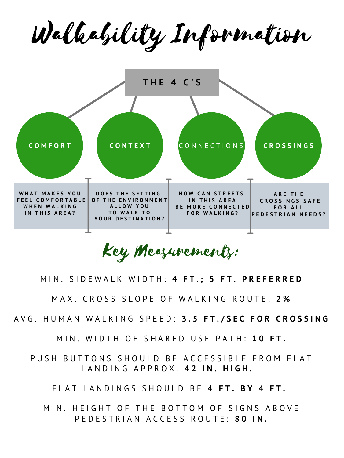Walkability Information



PUSH BUTTONS SHOULD BE ACCESSIBLE FROM FLAT L A N D I N G A P P R O X . **4 2 I N . H I G H .**

Key Measurements:

MIN. HEIGHT OF THE BOTTOM OF SIGNS ABOVE P E D E S T R I A N A C C E S S R O U T E : **8 0 I N .**

### M I N . S I D E W A L K W I D T H : **4 F T . ; 5 F T . P R E F E R R E D**

### M A X . C R O S S S L O P E O F W A L K I N G R O U T E : **2 %**

AVG. HUMAN WALKING SPEED: 3.5 FT./SEC FOR CROSSING

M I N . W I D T H O F S H A R E D U S E P A T H : **1 0 F T .**

F L A T L A N D I N G S S H O U L D B E **4 F T . B Y 4 F T .**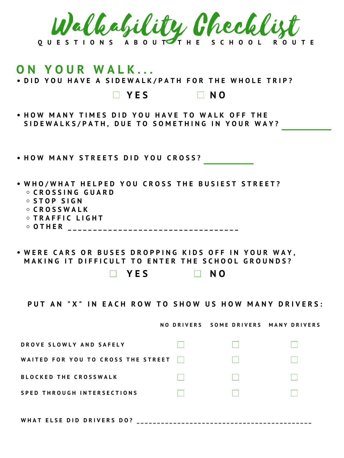

# **O N Y O U R W A L K . . .** • DID YOU HAVE A SIDEWALK/PATH FOR THE WHOLE TRIP? **Y E S N O**

• HOW MANY TIMES DID YOU HAVE TO WALK OFF THE SIDEWALKS/PATH, DUE TO SOMETHING IN YOUR WAY?

### • HOW MANY STREETS DID YOU CROSS?

- WHO/WHAT HELPED YOU CROSS THE BUSIEST STREET? **C R O S S I N G G U A R D S T O P S I G N C R O S S W A L K T R A F F I C L I G H T**
	- OTHER \_\_\_\_\_\_\_\_\_\_\_\_\_\_\_\_\_\_\_\_\_\_\_\_\_\_\_\_\_\_\_\_\_\_

### • WERE CARS OR BUSES DROPPING KIDS OFF IN YOUR WAY, MAKING IT DIFFICULT TO ENTER THE SCHOOL GROUNDS?

### **Y E S N O**

PUT AN "X" IN EACH ROW TO SHOW US HOW MANY DRIVERS:

NO DRIVERS SOME DRIVERS MANY DRIVERS



**W H A T E L S E D I D D R I V E R S D O ? \_ \_ \_ \_ \_ \_ \_ \_ \_ \_ \_ \_ \_ \_ \_ \_ \_ \_ \_ \_ \_ \_ \_ \_ \_ \_ \_ \_ \_ \_ \_ \_ \_ \_ \_ \_ \_ \_ \_ \_ \_ \_ \_**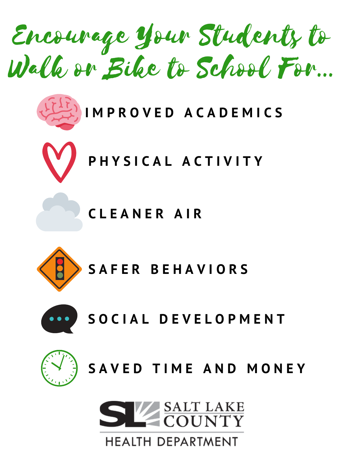Encourage Your Students to Walk or Bike to School For...





**C L E A N E R A I R**



# **S A F E R B E H A V I O R S**





# **S A V E D T I M E A N D M O N E Y**



# **HEALTH DEPARTMENT**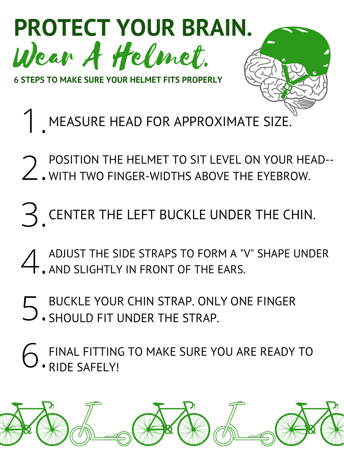

**6 STEPS TO MAKE SURE YOUR HELMET FITS PROPERLY**

1. MEASURE HEAD FOR APPROXIMATE SIZE.

2 POSITION THE HELMET TO SIT LEVEL ON YOUR HEAD--<br>2. WITH TWO FINGER-WIDTHS ABOVE THE EYEBROW. WITH TWO FINGER-WIDTHS ABOVE THE EYEBROW.

A ADJUST THE SIDE STRAPS TO FORM A "V" SHAPE UNDER<br> **A** AND SLIGHTLY IN FRONT OF THE EARS. AND SLIGHTLY IN FRONT OF THE EARS.

3. CENTER THE LEFT BUCKLE UNDER THE CHIN.

### 5. BUCKLE YOUR CHIN STRAP. ONLY ONE FINGER SHOULD FIT UNDER THE STRAP.

### 6. FINAL FITTING TO MAKE SURE YOU ARE READY TO RIDE SAFELY!

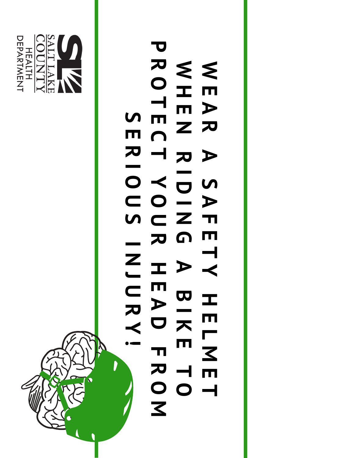

#### $\leq$ **E A R A**  $\overline{\mathbf{S}}$ **A**  $M \subset \mathbb{Z}$  T **E**  $\leq$ **H E N R I D I G P R O T E C T R Y O U R**  $\boldsymbol{\mathsf{S}}$ **E I O**

**T Y H E L M E T A B I K E T O H E A D F R O M I N J U R Y !**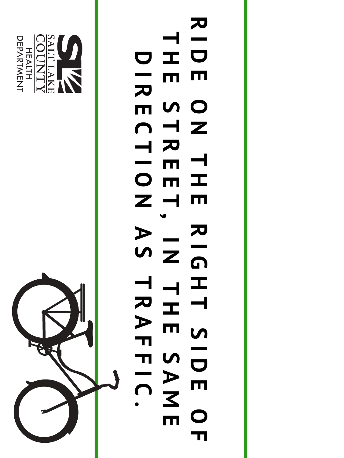

**R I D H D E**  $\blacksquare$   $\blacksquare$   $\blacksquare$ **N T C T H E R T E R T E E T N , I R I O A**

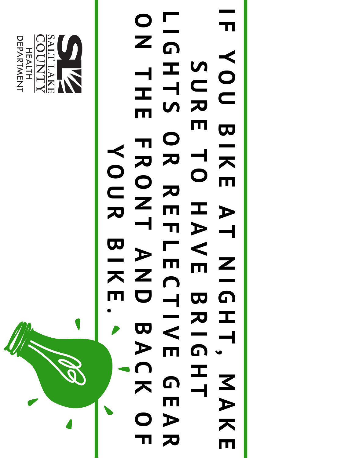

#### **I F Y O U B I K E A T S U R E T O H A L I G H T S O R R E F O N T H E F R O N T Y O U R**

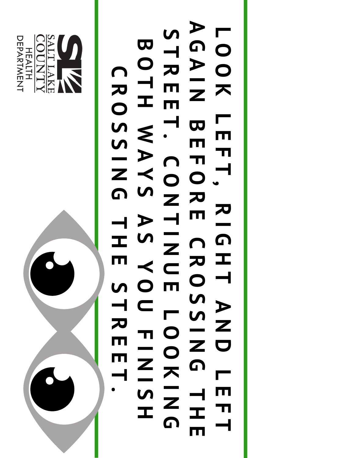

#### **L O O K L E F T , R I G A G A I N B E F O R E S T R E E T . C O N T I B O T H**  $\leq$ **A Y S A S C R O S S I N G T**

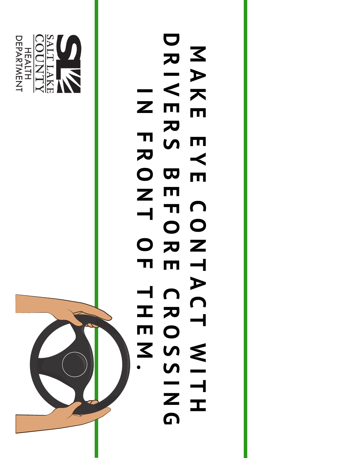

#### **M A K E E Y**  $\mathbf{E}$ **C O D R I**  $\triangleleft$ **E R S B E F O I N F R O N T**

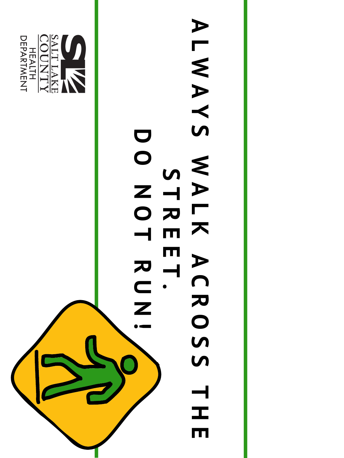

# **A L**  $\leq$ **A Y S**  $\leq$ **A L K S T R E D O N O T**